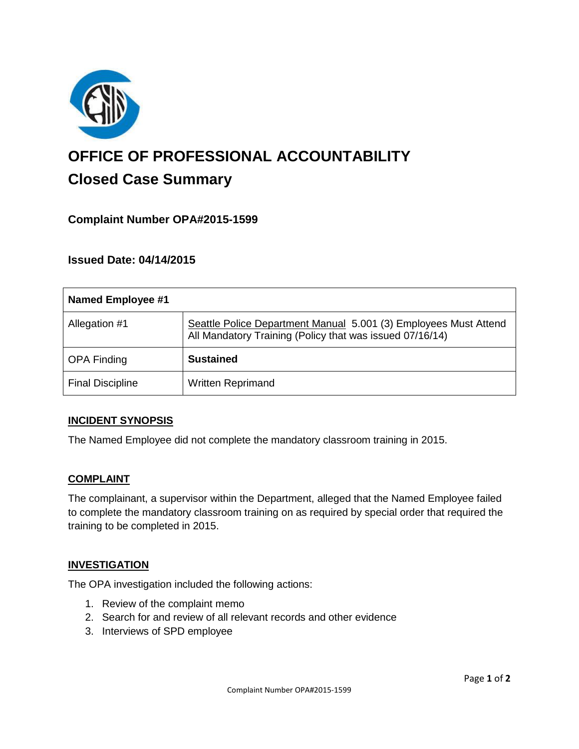

# **OFFICE OF PROFESSIONAL ACCOUNTABILITY Closed Case Summary**

## **Complaint Number OPA#2015-1599**

## **Issued Date: 04/14/2015**

| <b>Named Employee #1</b> |                                                                                                                              |
|--------------------------|------------------------------------------------------------------------------------------------------------------------------|
| Allegation #1            | Seattle Police Department Manual 5.001 (3) Employees Must Attend<br>All Mandatory Training (Policy that was issued 07/16/14) |
| <b>OPA Finding</b>       | <b>Sustained</b>                                                                                                             |
| <b>Final Discipline</b>  | <b>Written Reprimand</b>                                                                                                     |

#### **INCIDENT SYNOPSIS**

The Named Employee did not complete the mandatory classroom training in 2015.

#### **COMPLAINT**

The complainant, a supervisor within the Department, alleged that the Named Employee failed to complete the mandatory classroom training on as required by special order that required the training to be completed in 2015.

#### **INVESTIGATION**

The OPA investigation included the following actions:

- 1. Review of the complaint memo
- 2. Search for and review of all relevant records and other evidence
- 3. Interviews of SPD employee